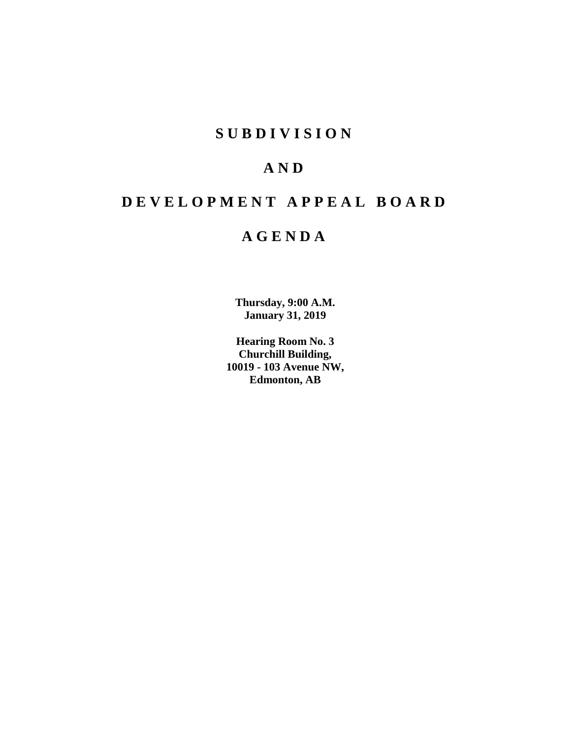## **SUBDIVISION**

## **AND**

# **DEVELOPMENT APPEAL BOARD**

## **AGENDA**

**Thursday, 9:00 A.M. January 31, 2019**

**Hearing Room No. 3 Churchill Building, 10019 - 103 Avenue NW, Edmonton, AB**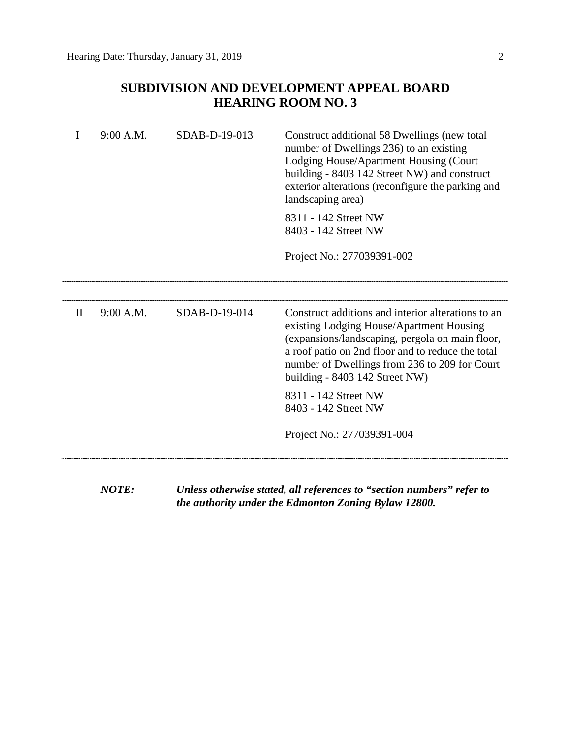## **SUBDIVISION AND DEVELOPMENT APPEAL BOARD HEARING ROOM NO. 3**

|              | 9:00 A.M. | SDAB-D-19-013   | Construct additional 58 Dwellings (new total<br>number of Dwellings 236) to an existing<br>Lodging House/Apartment Housing (Court<br>building - 8403 142 Street NW) and construct<br>exterior alterations (reconfigure the parking and<br>landscaping area)<br>8311 - 142 Street NW<br>8403 - 142 Street NW<br>Project No.: 277039391-002                               |
|--------------|-----------|-----------------|-------------------------------------------------------------------------------------------------------------------------------------------------------------------------------------------------------------------------------------------------------------------------------------------------------------------------------------------------------------------------|
| $\mathbf{H}$ | 9:00 A.M. | $SDAB-D-19-014$ | Construct additions and interior alterations to an<br>existing Lodging House/Apartment Housing<br>(expansions/landscaping, pergola on main floor,<br>a roof patio on 2nd floor and to reduce the total<br>number of Dwellings from 236 to 209 for Court<br>building - 8403 142 Street NW)<br>8311 - 142 Street NW<br>8403 - 142 Street NW<br>Project No.: 277039391-004 |

*NOTE: Unless otherwise stated, all references to "section numbers" refer to the authority under the Edmonton Zoning Bylaw 12800.*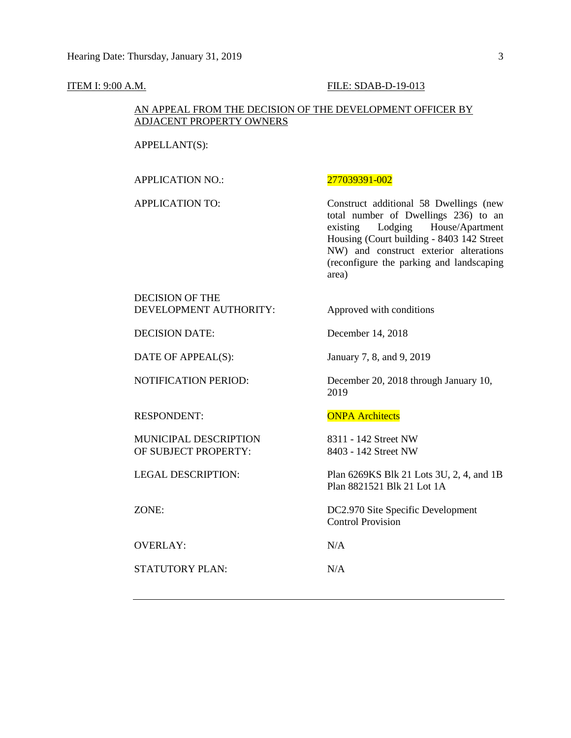### **ITEM I: 9:00 A.M. FILE: SDAB-D-19-013**

### AN APPEAL FROM THE DECISION OF THE DEVELOPMENT OFFICER BY ADJACENT PROPERTY OWNERS

APPELLANT(S):

APPLICATION NO.: 277039391-002

APPLICATION TO: Construct additional 58 Dwellings (new total number of Dwellings 236) to an existing Lodging House/Apartment Housing (Court building - 8403 142 Street NW) and construct exterior alterations (reconfigure the parking and landscaping area)

DECISION OF THE DEVELOPMENT AUTHORITY: Approved with conditions

DECISION DATE: December 14, 2018

RESPONDENT: ONPA Architects

MUNICIPAL DESCRIPTION 8311 - 142 Street NW<br>OF SUBJECT PROPERTY: 8403 - 142 Street NW OF SUBJECT PROPERTY:

OVERLAY: N/A

STATUTORY PLAN: N/A

DATE OF APPEAL(S): January 7, 8, and 9, 2019

NOTIFICATION PERIOD: December 20, 2018 through January 10, 2019

LEGAL DESCRIPTION: Plan 6269KS Blk 21 Lots 3U, 2, 4, and 1B Plan 8821521 Blk 21 Lot 1A

ZONE: DC2.970 Site Specific Development Control Provision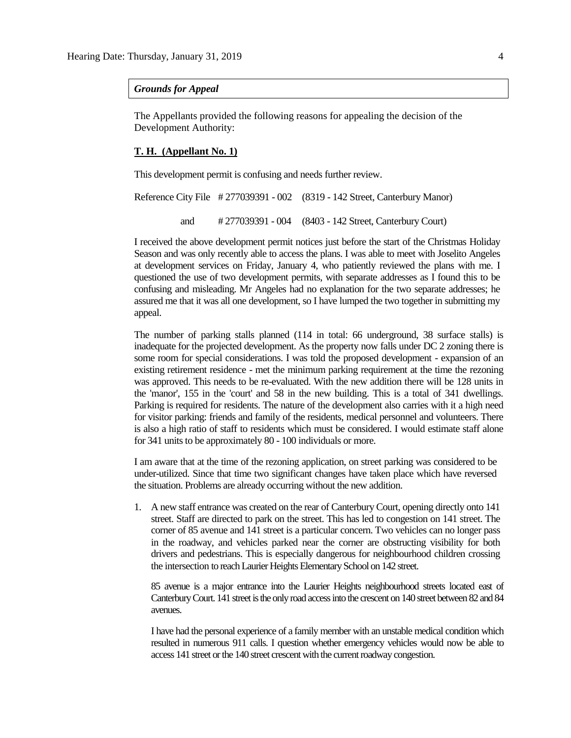### *Grounds for Appeal*

The Appellants provided the following reasons for appealing the decision of the Development Authority:

### **T. H. (Appellant No. 1)**

This development permit is confusing and needs further review.

```
Reference City File # 277039391 - 002 (8319 - 142 Street, Canterbury Manor)
and # 277039391 - 004 (8403 - 142 Street, Canterbury Court)
```
I received the above development permit notices just before the start of the Christmas Holiday Season and was only recently able to access the plans. I was able to meet with Joselito Angeles at development services on Friday, January 4, who patiently reviewed the plans with me. I questioned the use of two development permits, with separate addresses as I found this to be confusing and misleading. Mr Angeles had no explanation for the two separate addresses; he assured me that it was all one development, so I have lumped the two together in submitting my appeal.

The number of parking stalls planned (114 in total: 66 underground, 38 surface stalls) is inadequate for the projected development. As the property now falls under DC 2 zoning there is some room for special considerations. I was told the proposed development - expansion of an existing retirement residence - met the minimum parking requirement at the time the rezoning was approved. This needs to be re-evaluated. With the new addition there will be 128 units in the 'manor', 155 in the 'court' and 58 in the new building. This is a total of 341 dwellings. Parking is required for residents. The nature of the development also carries with it a high need for visitor parking: friends and family of the residents, medical personnel and volunteers. There is also a high ratio of staff to residents which must be considered. I would estimate staff alone for 341 units to be approximately 80 - 100 individuals or more.

I am aware that at the time of the rezoning application, on street parking was considered to be under-utilized. Since that time two significant changes have taken place which have reversed the situation. Problems are already occurring without the new addition.

1. A new staff entrance was created on the rear of Canterbury Court, opening directly onto 141 street. Staff are directed to park on the street. This has led to congestion on 141 street. The corner of 85 avenue and 141 street is a particular concern. Two vehicles can no longer pass in the roadway, and vehicles parked near the corner are obstructing visibility for both drivers and pedestrians. This is especially dangerous for neighbourhood children crossing the intersection to reach Laurier Heights Elementary School on 142 street.

85 avenue is a major entrance into the Laurier Heights neighbourhood streets located east of Canterbury Court. 141 street is the only road access into the crescent on 140 street between 82 and 84 avenues.

I have had the personal experience of a family member with an unstable medical condition which resulted in numerous 911 calls. I question whether emergency vehicles would now be able to access 141 street or the 140 street crescent with the current roadway congestion.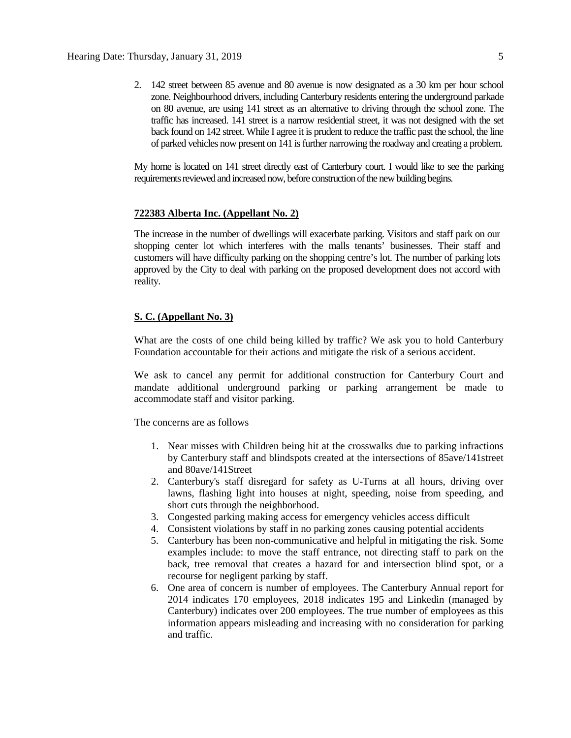2. 142 street between 85 avenue and 80 avenue is now designated as a 30 km per hour school zone. Neighbourhood drivers, including Canterbury residents entering the underground parkade on 80 avenue, are using 141 street as an alternative to driving through the school zone. The traffic has increased. 141 street is a narrow residential street, it was not designed with the set back found on 142 street. While I agree it is prudent to reduce the traffic past the school, the line of parked vehicles now present on 141 is further narrowing the roadway and creating a problem.

My home is located on 141 street directly east of Canterbury court. I would like to see the parking requirements reviewedand increased now, before construction of the new building begins.

### **722383 Alberta Inc. (Appellant No. 2)**

The increase in the number of dwellings will exacerbate parking. Visitors and staff park on our shopping center lot which interferes with the malls tenants' businesses. Their staff and customers will have difficulty parking on the shopping centre's lot. The number of parking lots approved by the City to deal with parking on the proposed development does not accord with reality.

### **S. C. (Appellant No. 3)**

What are the costs of one child being killed by traffic? We ask you to hold Canterbury Foundation accountable for their actions and mitigate the risk of a serious accident.

We ask to cancel any permit for additional construction for Canterbury Court and mandate additional underground parking or parking arrangement be made to accommodate staff and visitor parking.

The concerns are as follows

- 1. Near misses with Children being hit at the crosswalks due to parking infractions by Canterbury staff and blindspots created at the intersections of 85ave/141street and 80ave/141Street
- 2. Canterbury's staff disregard for safety as U-Turns at all hours, driving over lawns, flashing light into houses at night, speeding, noise from speeding, and short cuts through the neighborhood.
- 3. Congested parking making access for emergency vehicles access difficult
- 4. Consistent violations by staff in no parking zones causing potential accidents
- 5. Canterbury has been non-communicative and helpful in mitigating the risk. Some examples include: to move the staff entrance, not directing staff to park on the back, tree removal that creates a hazard for and intersection blind spot, or a recourse for negligent parking by staff.
- 6. One area of concern is number of employees. The Canterbury Annual report for 2014 indicates 170 employees, 2018 indicates 195 and Linkedin (managed by Canterbury) indicates over 200 employees. The true number of employees as this information appears misleading and increasing with no consideration for parking and traffic.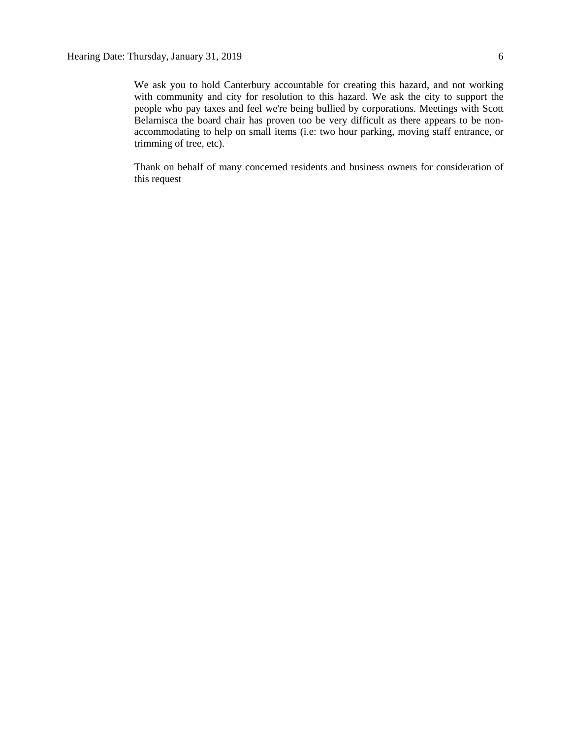We ask you to hold Canterbury accountable for creating this hazard, and not working with community and city for resolution to this hazard. We ask the city to support the people who pay taxes and feel we're being bullied by corporations. Meetings with Scott Belarnisca the board chair has proven too be very difficult as there appears to be nonaccommodating to help on small items (i.e: two hour parking, moving staff entrance, or trimming of tree, etc).

Thank on behalf of many concerned residents and business owners for consideration of this request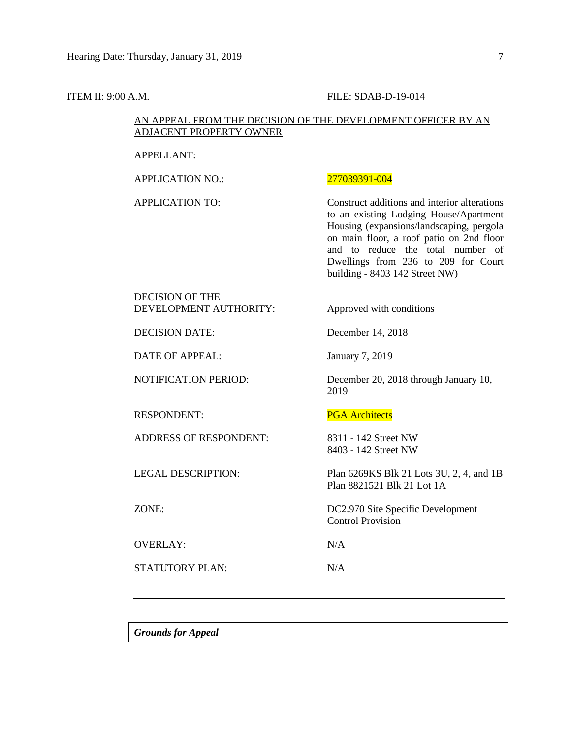### **ITEM II: 9:00 A.M. FILE: SDAB-D-19-014**

## AN APPEAL FROM THE DECISION OF THE DEVELOPMENT OFFICER BY AN ADJACENT PROPERTY OWNER

APPELLANT:

APPLICATION NO.: 277039391-004

APPLICATION TO: Construct additions and interior alterations to an existing Lodging House/Apartment Housing (expansions/landscaping, pergola on main floor, a roof patio on 2nd floor and to reduce the total number of Dwellings from 236 to 209 for Court building - 8403 142 Street NW)

DECISION OF THE DEVELOPMENT AUTHORITY: Approved with conditions

DECISION DATE: December 14, 2018

DATE OF APPEAL: January 7, 2019

RESPONDENT: PGA Architects

ADDRESS OF RESPONDENT: 8311 - 142 Street NW

OVERLAY: N/A

STATUTORY PLAN: N/A

NOTIFICATION PERIOD: December 20, 2018 through January 10, 2019

8403 - 142 Street NW

LEGAL DESCRIPTION: Plan 6269KS Blk 21 Lots 3U, 2, 4, and 1B Plan 8821521 Blk 21 Lot 1A

ZONE: DC2.970 Site Specific Development Control Provision

*Grounds for Appeal*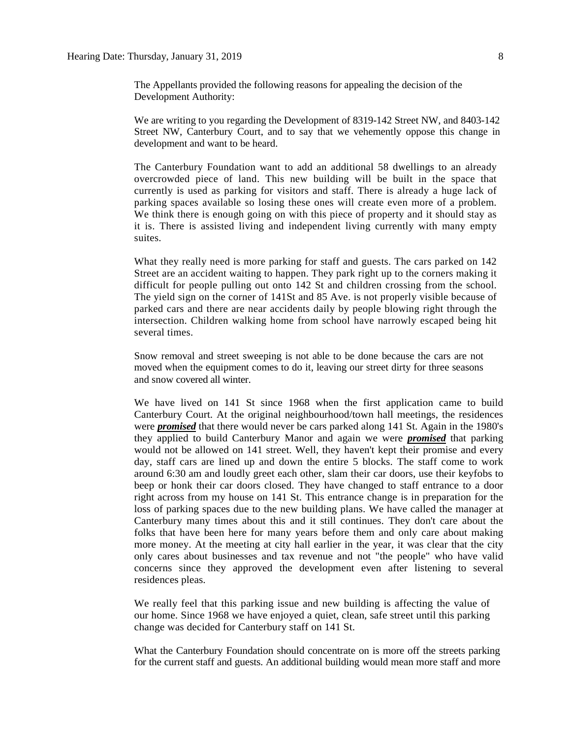The Appellants provided the following reasons for appealing the decision of the Development Authority:

We are writing to you regarding the Development of 8319-142 Street NW, and 8403-142 Street NW, Canterbury Court, and to say that we vehemently oppose this change in development and want to be heard.

The Canterbury Foundation want to add an additional 58 dwellings to an already overcrowded piece of land. This new building will be built in the space that currently is used as parking for visitors and staff. There is already a huge lack of parking spaces available so losing these ones will create even more of a problem. We think there is enough going on with this piece of property and it should stay as it is. There is assisted living and independent living currently with many empty suites.

What they really need is more parking for staff and guests. The cars parked on 142 Street are an accident waiting to happen. They park right up to the corners making it difficult for people pulling out onto 142 St and children crossing from the school. The yield sign on the corner of 141St and 85 Ave. is not properly visible because of parked cars and there are near accidents daily by people blowing right through the intersection. Children walking home from school have narrowly escaped being hit several times.

Snow removal and street sweeping is not able to be done because the cars are not moved when the equipment comes to do it, leaving our street dirty for three seasons and snow covered all winter.

We have lived on 141 St since 1968 when the first application came to build Canterbury Court. At the original neighbourhood/town hall meetings, the residences were *promised* that there would never be cars parked along 141 St. Again in the 1980's they applied to build Canterbury Manor and again we were *promised* that parking would not be allowed on 141 street. Well, they haven't kept their promise and every day, staff cars are lined up and down the entire 5 blocks. The staff come to work around 6:30 am and loudly greet each other, slam their car doors, use their keyfobs to beep or honk their car doors closed. They have changed to staff entrance to a door right across from my house on 141 St. This entrance change is in preparation for the loss of parking spaces due to the new building plans. We have called the manager at Canterbury many times about this and it still continues. They don't care about the folks that have been here for many years before them and only care about making more money. At the meeting at city hall earlier in the year, it was clear that the city only cares about businesses and tax revenue and not "the people" who have valid concerns since they approved the development even after listening to several residences pleas.

We really feel that this parking issue and new building is affecting the value of our home. Since 1968 we have enjoyed a quiet, clean, safe street until this parking change was decided for Canterbury staff on 141 St.

What the Canterbury Foundation should concentrate on is more off the streets parking for the current staff and guests. An additional building would mean more staff and more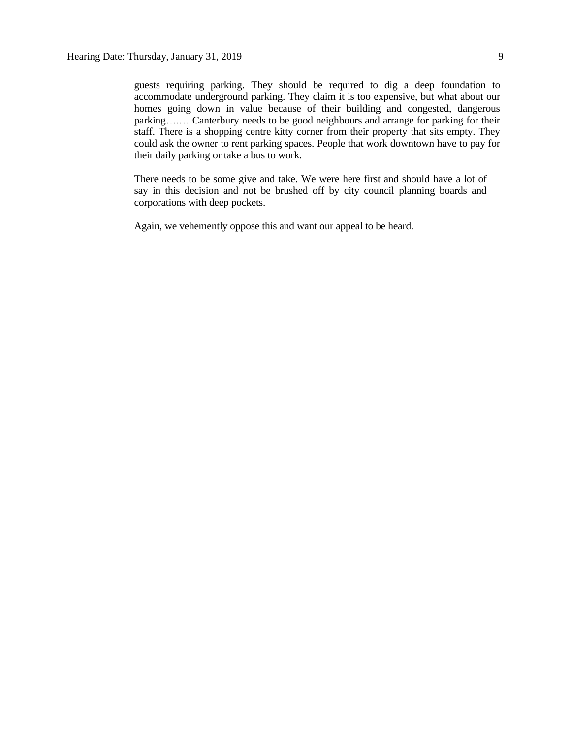guests requiring parking. They should be required to dig a deep foundation to accommodate underground parking. They claim it is too expensive, but what about our homes going down in value because of their building and congested, dangerous parking….… Canterbury needs to be good neighbours and arrange for parking for their staff. There is a shopping centre kitty corner from their property that sits empty. They could ask the owner to rent parking spaces. People that work downtown have to pay for their daily parking or take a bus to work.

There needs to be some give and take. We were here first and should have a lot of say in this decision and not be brushed off by city council planning boards and corporations with deep pockets.

Again, we vehemently oppose this and want our appeal to be heard.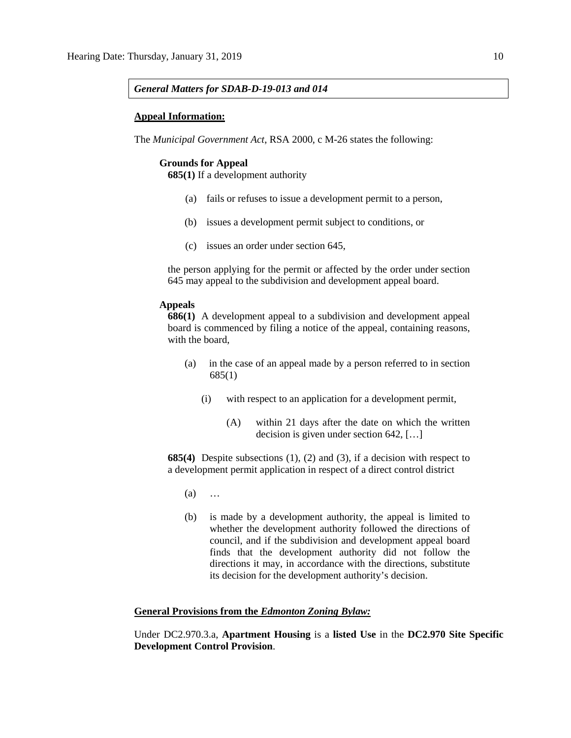### *General Matters for SDAB-D-19-013 and 014*

### **Appeal Information:**

The *Municipal Government Act*, RSA 2000, c M-26 states the following:

### **Grounds for Appeal**

**685(1)** If a development authority

- (a) fails or refuses to issue a development permit to a person,
- (b) issues a development permit subject to conditions, or
- (c) issues an order under section 645,

the person applying for the permit or affected by the order under section 645 may appeal to the subdivision and development appeal board.

### **Appeals**

**686(1)** A development appeal to a subdivision and development appeal board is commenced by filing a notice of the appeal, containing reasons, with the board,

- (a) in the case of an appeal made by a person referred to in section 685(1)
	- (i) with respect to an application for a development permit,
		- (A) within 21 days after the date on which the written decision is given under section 642, […]

**685(4)** Despite subsections (1), (2) and (3), if a decision with respect to a development permit application in respect of a direct control district

- (a) …
- (b) is made by a development authority, the appeal is limited to whether the development authority followed the directions of council, and if the subdivision and development appeal board finds that the development authority did not follow the directions it may, in accordance with the directions, substitute its decision for the development authority's decision.

### **General Provisions from the** *Edmonton Zoning Bylaw:*

Under DC2.970.3.a, **Apartment Housing** is a **listed Use** in the **DC2.970 Site Specific Development Control Provision**.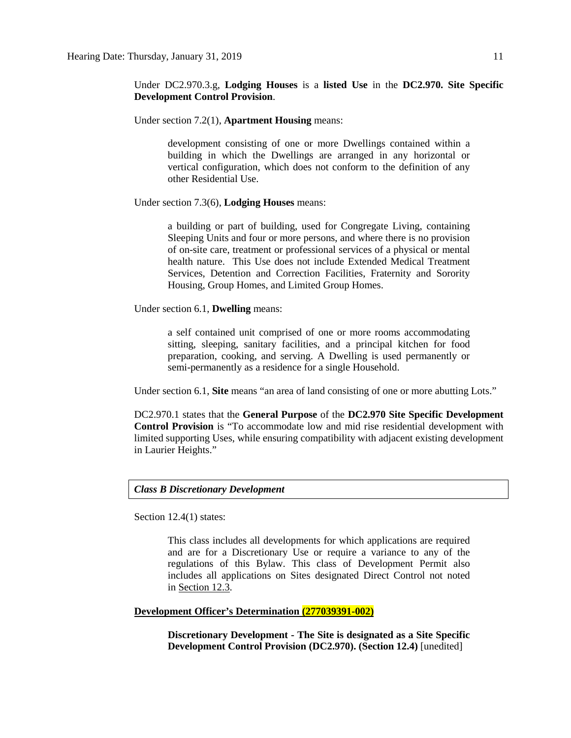Under DC2.970.3.g, **Lodging Houses** is a **listed Use** in the **DC2.970. Site Specific Development Control Provision**.

Under section 7.2(1), **Apartment Housing** means:

development consisting of one or more Dwellings contained within a building in which the Dwellings are arranged in any horizontal or vertical configuration, which does not conform to the definition of any other Residential Use.

Under section 7.3(6), **Lodging Houses** means:

a building or part of building, used for Congregate Living, containing Sleeping Units and four or more persons, and where there is no provision of on-site care, treatment or professional services of a physical or mental health nature. This Use does not include Extended Medical Treatment Services, Detention and Correction Facilities, Fraternity and Sorority Housing, Group Homes, and Limited Group Homes.

Under section 6.1, **Dwelling** means:

a self contained unit comprised of one or more rooms accommodating sitting, sleeping, sanitary facilities, and a principal kitchen for food preparation, cooking, and serving. A Dwelling is used permanently or semi-permanently as a residence for a single Household.

Under section 6.1, **Site** means "an area of land consisting of one or more abutting Lots."

DC2.970.1 states that the **General Purpose** of the **DC2.970 Site Specific Development Control Provision** is "To accommodate low and mid rise residential development with limited supporting Uses, while ensuring compatibility with adjacent existing development in Laurier Heights."

### *Class B Discretionary Development*

Section 12.4(1) states:

This class includes all developments for which applications are required and are for a Discretionary Use or require a variance to any of the regulations of this Bylaw. This class of Development Permit also includes all applications on Sites designated Direct Control not noted in [Section 12.3.](https://webdocs.edmonton.ca/InfraPlan/zoningbylaw/ZoningBylaw/Part1/Administrative/12_3_Class_A_Permitted_Development.htm)

### **Development Officer's Determination (277039391-002)**

**Discretionary Development - The Site is designated as a Site Specific Development Control Provision (DC2.970). (Section 12.4)** [unedited]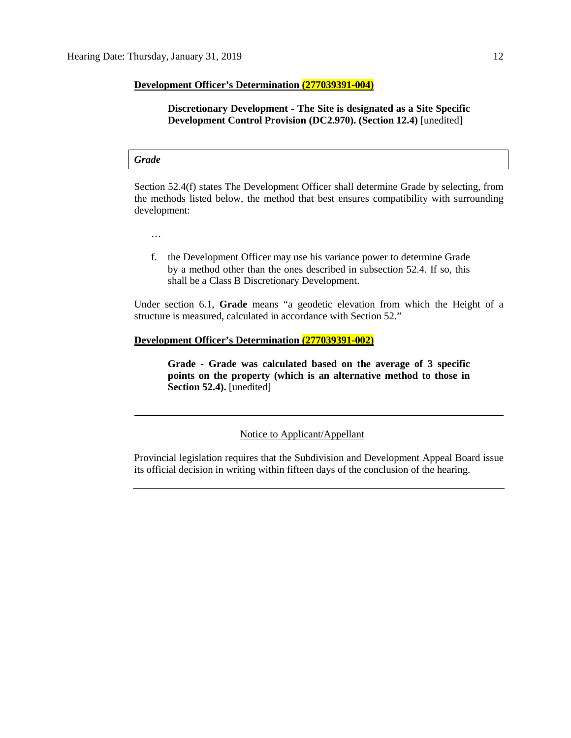### **Development Officer's Determination (277039391-004)**

### **Discretionary Development - The Site is designated as a Site Specific Development Control Provision (DC2.970). (Section 12.4)** [unedited]

### *Grade*

Section 52.4(f) states The Development Officer shall determine Grade by selecting, from the methods listed below, the method that best ensures compatibility with surrounding development:

- …
- f. the Development Officer may use his variance power to determine Grade by a method other than the ones described in subsection 52.4. If so, this shall be a Class B Discretionary Development.

Under section 6.1, **Grade** means "a geodetic elevation from which the Height of a structure is measured, calculated in accordance with Section 52."

### **Development Officer's Determination (277039391-002)**

**Grade - Grade was calculated based on the average of 3 specific points on the property (which is an alternative method to those in Section 52.4).** [unedited]

Notice to Applicant/Appellant

Provincial legislation requires that the Subdivision and Development Appeal Board issue its official decision in writing within fifteen days of the conclusion of the hearing.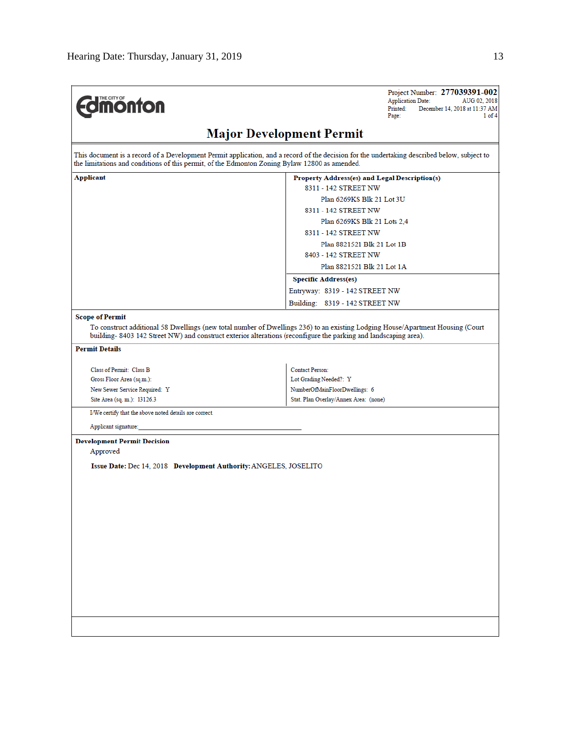**Edinonton** 

### Project Number: 277039391-002 **Application Date:** AUG 02, 2018 Printed: December 14, 2018 at 11:37 AM Page: 1 of 4

## **Major Development Permit**

This document is a record of a Development Permit application, and a record of the decision for the undertaking described below, subject to the limitations and conditions of this permit, of the Edmonton Zoning Bylaw 12800

| <b>Applicant</b>                                                                                                                                                                                                                                  | Property Address(es) and Legal Description(s) |  |  |  |  |
|---------------------------------------------------------------------------------------------------------------------------------------------------------------------------------------------------------------------------------------------------|-----------------------------------------------|--|--|--|--|
|                                                                                                                                                                                                                                                   | 8311 - 142 STREET NW                          |  |  |  |  |
|                                                                                                                                                                                                                                                   | Plan 6269KS Blk 21 Lot 3U                     |  |  |  |  |
|                                                                                                                                                                                                                                                   | 8311 - 142 STREET NW                          |  |  |  |  |
|                                                                                                                                                                                                                                                   | Plan 6269KS Blk 21 Lots 2,4                   |  |  |  |  |
|                                                                                                                                                                                                                                                   | 8311 - 142 STREET NW                          |  |  |  |  |
|                                                                                                                                                                                                                                                   | Plan 8821521 Blk 21 Lot 1B                    |  |  |  |  |
|                                                                                                                                                                                                                                                   | 8403 - 142 STREET NW                          |  |  |  |  |
|                                                                                                                                                                                                                                                   | Plan 8821521 Blk 21 Lot 1A                    |  |  |  |  |
|                                                                                                                                                                                                                                                   | <b>Specific Address(es)</b>                   |  |  |  |  |
|                                                                                                                                                                                                                                                   | Entryway: 8319 - 142 STREET NW                |  |  |  |  |
|                                                                                                                                                                                                                                                   | Building: 8319 - 142 STREET NW                |  |  |  |  |
| <b>Scope of Permit</b>                                                                                                                                                                                                                            |                                               |  |  |  |  |
| To construct additional 58 Dwellings (new total number of Dwellings 236) to an existing Lodging House/Apartment Housing (Court<br>building-8403 142 Street NW) and construct exterior alterations (reconfigure the parking and landscaping area). |                                               |  |  |  |  |
| <b>Permit Details</b>                                                                                                                                                                                                                             |                                               |  |  |  |  |
|                                                                                                                                                                                                                                                   |                                               |  |  |  |  |
| Class of Permit: Class B                                                                                                                                                                                                                          | <b>Contact Person:</b>                        |  |  |  |  |
| Gross Floor Area (sq.m.):                                                                                                                                                                                                                         | Lot Grading Needed?: Y                        |  |  |  |  |
| New Sewer Service Required: Y                                                                                                                                                                                                                     | NumberOfMainFloorDwellings: 6                 |  |  |  |  |
| Site Area (sq. m.): 13126.3                                                                                                                                                                                                                       | Stat. Plan Overlay/Annex Area: (none)         |  |  |  |  |
| I/We certify that the above noted details are correct.                                                                                                                                                                                            |                                               |  |  |  |  |
| Applicant signature:                                                                                                                                                                                                                              |                                               |  |  |  |  |
| <b>Development Permit Decision</b>                                                                                                                                                                                                                |                                               |  |  |  |  |
| Approved                                                                                                                                                                                                                                          |                                               |  |  |  |  |
| Issue Date: Dec 14, 2018 Development Authority: ANGELES, JOSELITO                                                                                                                                                                                 |                                               |  |  |  |  |
|                                                                                                                                                                                                                                                   |                                               |  |  |  |  |
|                                                                                                                                                                                                                                                   |                                               |  |  |  |  |
|                                                                                                                                                                                                                                                   |                                               |  |  |  |  |
|                                                                                                                                                                                                                                                   |                                               |  |  |  |  |
|                                                                                                                                                                                                                                                   |                                               |  |  |  |  |
|                                                                                                                                                                                                                                                   |                                               |  |  |  |  |
|                                                                                                                                                                                                                                                   |                                               |  |  |  |  |
|                                                                                                                                                                                                                                                   |                                               |  |  |  |  |
|                                                                                                                                                                                                                                                   |                                               |  |  |  |  |
|                                                                                                                                                                                                                                                   |                                               |  |  |  |  |
|                                                                                                                                                                                                                                                   |                                               |  |  |  |  |
|                                                                                                                                                                                                                                                   |                                               |  |  |  |  |
|                                                                                                                                                                                                                                                   |                                               |  |  |  |  |
|                                                                                                                                                                                                                                                   |                                               |  |  |  |  |
|                                                                                                                                                                                                                                                   |                                               |  |  |  |  |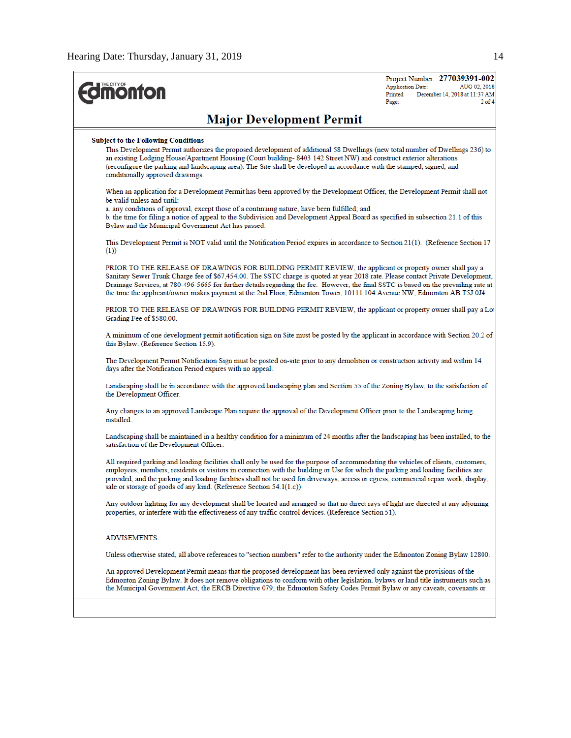| <b>Imonton</b>                                                                                                                                                                                                                                                                                                                                                                                                                                                                                                 | Project Number: 277039391-002<br><b>Application Date:</b><br>AUG 02, 2018<br>Printed:<br>December 14, 2018 at 11:37 AM<br>$2$ of $4$<br>Page: |
|----------------------------------------------------------------------------------------------------------------------------------------------------------------------------------------------------------------------------------------------------------------------------------------------------------------------------------------------------------------------------------------------------------------------------------------------------------------------------------------------------------------|-----------------------------------------------------------------------------------------------------------------------------------------------|
| <b>Major Development Permit</b>                                                                                                                                                                                                                                                                                                                                                                                                                                                                                |                                                                                                                                               |
| <b>Subject to the Following Conditions</b><br>This Development Permit authorizes the proposed development of additional 58 Dwellings (new total number of Dwellings 236) to<br>an existing Lodging House/Apartment Housing (Court building-8403 142 Street NW) and construct exterior alterations<br>(reconfigure the parking and landscaping area). The Site shall be developed in accordance with the stamped, signed, and<br>conditionally approved drawings.                                               |                                                                                                                                               |
| When an application for a Development Permit has been approved by the Development Officer, the Development Permit shall not<br>be valid unless and until:<br>a. any conditions of approval, except those of a continuing nature, have been fulfilled; and<br>b. the time for filing a notice of appeal to the Subdivision and Development Appeal Board as specified in subsection 21.1 of this                                                                                                                 |                                                                                                                                               |
| Bylaw and the Municipal Government Act has passed.<br>This Development Permit is NOT valid until the Notification Period expires in accordance to Section 21(1). (Reference Section 17<br>(1)                                                                                                                                                                                                                                                                                                                  |                                                                                                                                               |
| PRIOR TO THE RELEASE OF DRAWINGS FOR BUILDING PERMIT REVIEW, the applicant or property owner shall pay a<br>Sanitary Sewer Trunk Charge fee of \$67,454.00. The SSTC charge is quoted at year 2018 rate. Please contact Private Development,<br>Drainage Services, at 780-496-5665 for further details regarding the fee. However, the final SSTC is based on the prevailing rate at<br>the time the applicant/owner makes payment at the 2nd Floor, Edmonton Tower, 10111 104 Avenue NW, Edmonton AB T5J 0J4. |                                                                                                                                               |
| PRIOR TO THE RELEASE OF DRAWINGS FOR BUILDING PERMIT REVIEW, the applicant or property owner shall pay a Lot<br>Grading Fee of \$580.00.                                                                                                                                                                                                                                                                                                                                                                       |                                                                                                                                               |
| A minimum of one development permit notification sign on Site must be posted by the applicant in accordance with Section 20.2 of<br>this Bylaw. (Reference Section 15.9).                                                                                                                                                                                                                                                                                                                                      |                                                                                                                                               |
| The Development Permit Notification Sign must be posted on-site prior to any demolition or construction activity and within 14<br>days after the Notification Period expires with no appeal.                                                                                                                                                                                                                                                                                                                   |                                                                                                                                               |
| Landscaping shall be in accordance with the approved landscaping plan and Section 55 of the Zoning Bylaw, to the satisfaction of<br>the Development Officer.                                                                                                                                                                                                                                                                                                                                                   |                                                                                                                                               |
| Any changes to an approved Landscape Plan require the approval of the Development Officer prior to the Landscaping being<br>installed.                                                                                                                                                                                                                                                                                                                                                                         |                                                                                                                                               |
| Landscaping shall be maintained in a healthy condition for a minimum of 24 months after the landscaping has been installed, to the<br>satisfaction of the Development Officer.                                                                                                                                                                                                                                                                                                                                 |                                                                                                                                               |
| All required parking and loading facilities shall only be used for the purpose of accommodating the vehicles of clients, customers,<br>employees, members, residents or visitors in connection with the building or Use for which the parking and loading facilities are<br>provided, and the parking and loading facilities shall not be used for driveways, access or egress, commercial repair work, display,<br>sale or storage of goods of any kind. (Reference Section $54.1(1.c)$ )                     |                                                                                                                                               |
| Any outdoor lighting for any development shall be located and arranged so that no direct rays of light are directed at any adjoining<br>properties, or interfere with the effectiveness of any traffic control devices. (Reference Section 51).                                                                                                                                                                                                                                                                |                                                                                                                                               |
| <b>ADVISEMENTS:</b>                                                                                                                                                                                                                                                                                                                                                                                                                                                                                            |                                                                                                                                               |
| Unless otherwise stated, all above references to "section numbers" refer to the authority under the Edmonton Zoning Bylaw 12800.                                                                                                                                                                                                                                                                                                                                                                               |                                                                                                                                               |
| An approved Development Permit means that the proposed development has been reviewed only against the provisions of the<br>Edmonton Zoning Bylaw. It does not remove obligations to conform with other legislation, bylaws or land title instruments such as<br>the Municipal Government Act, the ERCB Directive 079, the Edmonton Safety Codes Permit Bylaw or any caveats, covenants or                                                                                                                      |                                                                                                                                               |
|                                                                                                                                                                                                                                                                                                                                                                                                                                                                                                                |                                                                                                                                               |
|                                                                                                                                                                                                                                                                                                                                                                                                                                                                                                                |                                                                                                                                               |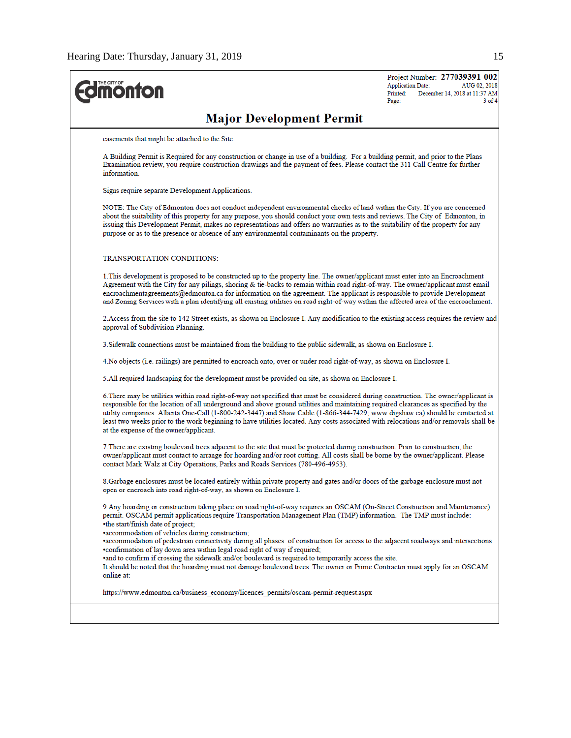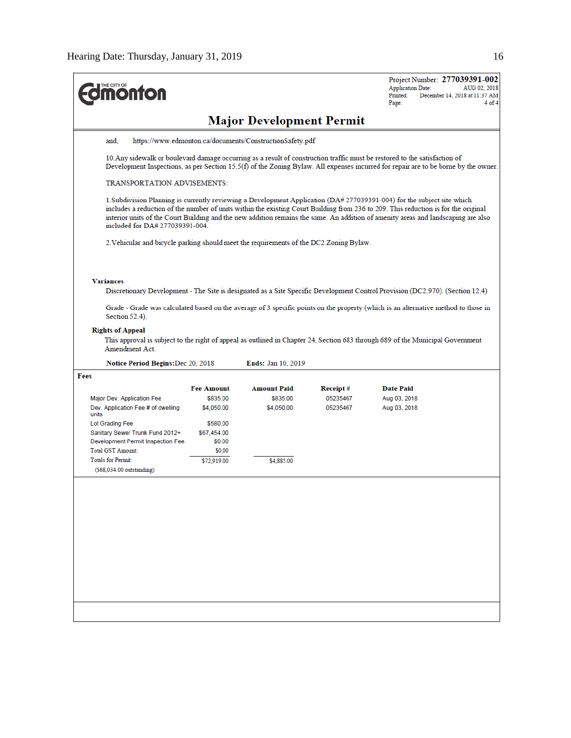| <b>ionton</b>                                                                                                                                                                                                                                                                                                                                                                                                                         |                                                                                                                                                                                                                                                                  |                                                          |          | Project Number: 277039391-002<br><b>Application Date:</b><br>AUG 02, 2018<br>Printed:<br>December 14, 2018 at 11:37 AM<br>Page:                                                                                                                                                                                                                                                                       | $4$ of $4$ |  |
|---------------------------------------------------------------------------------------------------------------------------------------------------------------------------------------------------------------------------------------------------------------------------------------------------------------------------------------------------------------------------------------------------------------------------------------|------------------------------------------------------------------------------------------------------------------------------------------------------------------------------------------------------------------------------------------------------------------|----------------------------------------------------------|----------|-------------------------------------------------------------------------------------------------------------------------------------------------------------------------------------------------------------------------------------------------------------------------------------------------------------------------------------------------------------------------------------------------------|------------|--|
|                                                                                                                                                                                                                                                                                                                                                                                                                                       |                                                                                                                                                                                                                                                                  | <b>Major Development Permit</b>                          |          |                                                                                                                                                                                                                                                                                                                                                                                                       |            |  |
| and.                                                                                                                                                                                                                                                                                                                                                                                                                                  |                                                                                                                                                                                                                                                                  | https://www.edmonton.ca/documents/ConstructionSafety.pdf |          |                                                                                                                                                                                                                                                                                                                                                                                                       |            |  |
|                                                                                                                                                                                                                                                                                                                                                                                                                                       | 10.Any sidewalk or boulevard damage occurring as a result of construction traffic must be restored to the satisfaction of<br>Development Inspections, as per Section 15.5(f) of the Zoning Bylaw. All expenses incurred for repair are to be borne by the owner. |                                                          |          |                                                                                                                                                                                                                                                                                                                                                                                                       |            |  |
| <b>TRANSPORTATION ADVISEMENTS:</b>                                                                                                                                                                                                                                                                                                                                                                                                    |                                                                                                                                                                                                                                                                  |                                                          |          |                                                                                                                                                                                                                                                                                                                                                                                                       |            |  |
| 1. Subdivision Planning is currently reviewing a Development Application (DA# 277039391-004) for the subject site which<br>includes a reduction of the number of units within the existing Court Building from 236 to 209. This reduction is for the original<br>interior units of the Court Building and the new addition remains the same. An addition of amenity areas and landscaping are also<br>included for DA# 277039391-004. |                                                                                                                                                                                                                                                                  |                                                          |          |                                                                                                                                                                                                                                                                                                                                                                                                       |            |  |
| 2. Vehicular and bicycle parking should meet the requirements of the DC2 Zoning Bylaw.                                                                                                                                                                                                                                                                                                                                                |                                                                                                                                                                                                                                                                  |                                                          |          |                                                                                                                                                                                                                                                                                                                                                                                                       |            |  |
| <b>Variances</b><br>Section 52.4).<br><b>Rights of Appeal</b><br>Amendment Act.<br><b>Notice Period Begins: Dec 20, 2018</b>                                                                                                                                                                                                                                                                                                          |                                                                                                                                                                                                                                                                  | <b>Ends: Jan 10, 2019</b>                                |          | Discretionary Development - The Site is designated as a Site Specific Development Control Provision (DC2.970). (Section 12.4)<br>Grade - Grade was calculated based on the average of 3 specific points on the property (which is an alternative method to those in<br>This approval is subject to the right of appeal as outlined in Chapter 24, Section 683 through 689 of the Municipal Government |            |  |
| Fees                                                                                                                                                                                                                                                                                                                                                                                                                                  |                                                                                                                                                                                                                                                                  |                                                          |          |                                                                                                                                                                                                                                                                                                                                                                                                       |            |  |
|                                                                                                                                                                                                                                                                                                                                                                                                                                       | <b>Fee Amount</b>                                                                                                                                                                                                                                                | <b>Amount Paid</b>                                       | Receipt# | <b>Date Paid</b>                                                                                                                                                                                                                                                                                                                                                                                      |            |  |
| Major Dev. Application Fee                                                                                                                                                                                                                                                                                                                                                                                                            | \$835.00                                                                                                                                                                                                                                                         | \$835.00                                                 | 05235467 | Aug 03, 2018                                                                                                                                                                                                                                                                                                                                                                                          |            |  |
| Dev. Application Fee # of dwelling<br>units                                                                                                                                                                                                                                                                                                                                                                                           | \$4,050.00                                                                                                                                                                                                                                                       | \$4,050.00                                               | 05235467 | Aug 03, 2018                                                                                                                                                                                                                                                                                                                                                                                          |            |  |
| Lot Grading Fee                                                                                                                                                                                                                                                                                                                                                                                                                       | \$580.00                                                                                                                                                                                                                                                         |                                                          |          |                                                                                                                                                                                                                                                                                                                                                                                                       |            |  |
| Sanitary Sewer Trunk Fund 2012+                                                                                                                                                                                                                                                                                                                                                                                                       | \$67,454.00                                                                                                                                                                                                                                                      |                                                          |          |                                                                                                                                                                                                                                                                                                                                                                                                       |            |  |
| Development Permit Inspection Fee                                                                                                                                                                                                                                                                                                                                                                                                     | \$0.00                                                                                                                                                                                                                                                           |                                                          |          |                                                                                                                                                                                                                                                                                                                                                                                                       |            |  |
| <b>Total GST Amount:</b>                                                                                                                                                                                                                                                                                                                                                                                                              | \$0.00                                                                                                                                                                                                                                                           |                                                          |          |                                                                                                                                                                                                                                                                                                                                                                                                       |            |  |
| <b>Totals for Permit:</b>                                                                                                                                                                                                                                                                                                                                                                                                             | \$72,919.00                                                                                                                                                                                                                                                      | \$4,885.00                                               |          |                                                                                                                                                                                                                                                                                                                                                                                                       |            |  |
| (\$68,034.00 outstanding)                                                                                                                                                                                                                                                                                                                                                                                                             |                                                                                                                                                                                                                                                                  |                                                          |          |                                                                                                                                                                                                                                                                                                                                                                                                       |            |  |
|                                                                                                                                                                                                                                                                                                                                                                                                                                       |                                                                                                                                                                                                                                                                  |                                                          |          |                                                                                                                                                                                                                                                                                                                                                                                                       |            |  |
|                                                                                                                                                                                                                                                                                                                                                                                                                                       |                                                                                                                                                                                                                                                                  |                                                          |          |                                                                                                                                                                                                                                                                                                                                                                                                       |            |  |
|                                                                                                                                                                                                                                                                                                                                                                                                                                       |                                                                                                                                                                                                                                                                  |                                                          |          |                                                                                                                                                                                                                                                                                                                                                                                                       |            |  |
|                                                                                                                                                                                                                                                                                                                                                                                                                                       |                                                                                                                                                                                                                                                                  |                                                          |          |                                                                                                                                                                                                                                                                                                                                                                                                       |            |  |
|                                                                                                                                                                                                                                                                                                                                                                                                                                       |                                                                                                                                                                                                                                                                  |                                                          |          |                                                                                                                                                                                                                                                                                                                                                                                                       |            |  |
|                                                                                                                                                                                                                                                                                                                                                                                                                                       |                                                                                                                                                                                                                                                                  |                                                          |          |                                                                                                                                                                                                                                                                                                                                                                                                       |            |  |
|                                                                                                                                                                                                                                                                                                                                                                                                                                       |                                                                                                                                                                                                                                                                  |                                                          |          |                                                                                                                                                                                                                                                                                                                                                                                                       |            |  |
|                                                                                                                                                                                                                                                                                                                                                                                                                                       |                                                                                                                                                                                                                                                                  |                                                          |          |                                                                                                                                                                                                                                                                                                                                                                                                       |            |  |
|                                                                                                                                                                                                                                                                                                                                                                                                                                       |                                                                                                                                                                                                                                                                  |                                                          |          |                                                                                                                                                                                                                                                                                                                                                                                                       |            |  |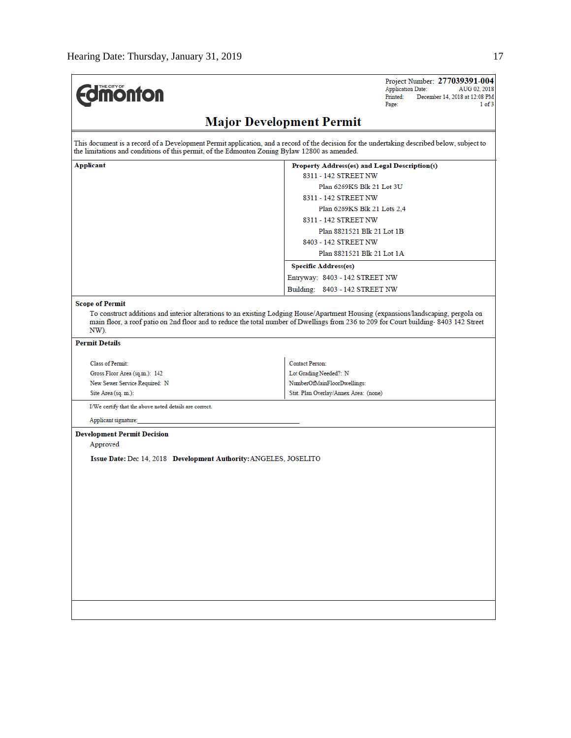| <b><i><u><u>monton</u></u></i></b>                                                            | Project Number: 277039391-004<br><b>Application Date:</b><br>AUG 02, 2018<br>Printed:<br>December 14, 2018 at 12:08 PM<br>1 of <sup>3</sup><br>Page:                                                                                                                       |
|-----------------------------------------------------------------------------------------------|----------------------------------------------------------------------------------------------------------------------------------------------------------------------------------------------------------------------------------------------------------------------------|
|                                                                                               | <b>Major Development Permit</b>                                                                                                                                                                                                                                            |
| the limitations and conditions of this permit, of the Edmonton Zoning Bylaw 12800 as amended. | This document is a record of a Development Permit application, and a record of the decision for the undertaking described below, subject to                                                                                                                                |
| Applicant                                                                                     | Property Address(es) and Legal Description(s)                                                                                                                                                                                                                              |
|                                                                                               | 8311 - 142 STREET NW                                                                                                                                                                                                                                                       |
|                                                                                               | Plan 6269KS Blk 21 Lot 3U                                                                                                                                                                                                                                                  |
|                                                                                               | 8311 - 142 STREET NW                                                                                                                                                                                                                                                       |
|                                                                                               | Plan 6269KS Blk 21 Lots 2,4                                                                                                                                                                                                                                                |
|                                                                                               | 8311 - 142 STREET NW                                                                                                                                                                                                                                                       |
|                                                                                               | Plan 8821521 Blk 21 Lot 1B                                                                                                                                                                                                                                                 |
|                                                                                               | 8403 - 142 STREET NW                                                                                                                                                                                                                                                       |
|                                                                                               | Plan 8821521 Blk 21 Lot 1A                                                                                                                                                                                                                                                 |
|                                                                                               | <b>Specific Address(es)</b>                                                                                                                                                                                                                                                |
|                                                                                               | Entryway: 8403 - 142 STREET NW                                                                                                                                                                                                                                             |
|                                                                                               | Building: 8403 - 142 STREET NW                                                                                                                                                                                                                                             |
| NW).<br><b>Permit Details</b>                                                                 | To construct additions and interior alterations to an existing Lodging House/Apartment Housing (expansions/landscaping, pergola on<br>main floor, a roof patio on 2nd floor and to reduce the total number of Dwellings from 236 to 209 for Court building-8403 142 Street |
|                                                                                               |                                                                                                                                                                                                                                                                            |
| Class of Permit:                                                                              | <b>Contact Person:</b>                                                                                                                                                                                                                                                     |
| Gross Floor Area (sq.m.): 142                                                                 | Lot Grading Needed?: N<br>NumberOfMainFloorDwellings:                                                                                                                                                                                                                      |
| New Sewer Service Required: N<br>Site Area (sq. m.):                                          | Stat. Plan Overlay/Annex Area: (none)                                                                                                                                                                                                                                      |
| I/We certify that the above noted details are correct.                                        |                                                                                                                                                                                                                                                                            |
|                                                                                               |                                                                                                                                                                                                                                                                            |
| Applicant signature:                                                                          |                                                                                                                                                                                                                                                                            |
| <b>Development Permit Decision</b>                                                            |                                                                                                                                                                                                                                                                            |
| Approved                                                                                      |                                                                                                                                                                                                                                                                            |
| Issue Date: Dec 14, 2018 Development Authority: ANGELES, JOSELITO                             |                                                                                                                                                                                                                                                                            |
|                                                                                               |                                                                                                                                                                                                                                                                            |
|                                                                                               |                                                                                                                                                                                                                                                                            |
|                                                                                               |                                                                                                                                                                                                                                                                            |
|                                                                                               |                                                                                                                                                                                                                                                                            |
|                                                                                               |                                                                                                                                                                                                                                                                            |
|                                                                                               |                                                                                                                                                                                                                                                                            |
|                                                                                               |                                                                                                                                                                                                                                                                            |
|                                                                                               |                                                                                                                                                                                                                                                                            |
|                                                                                               |                                                                                                                                                                                                                                                                            |
|                                                                                               |                                                                                                                                                                                                                                                                            |
|                                                                                               |                                                                                                                                                                                                                                                                            |
|                                                                                               |                                                                                                                                                                                                                                                                            |
|                                                                                               |                                                                                                                                                                                                                                                                            |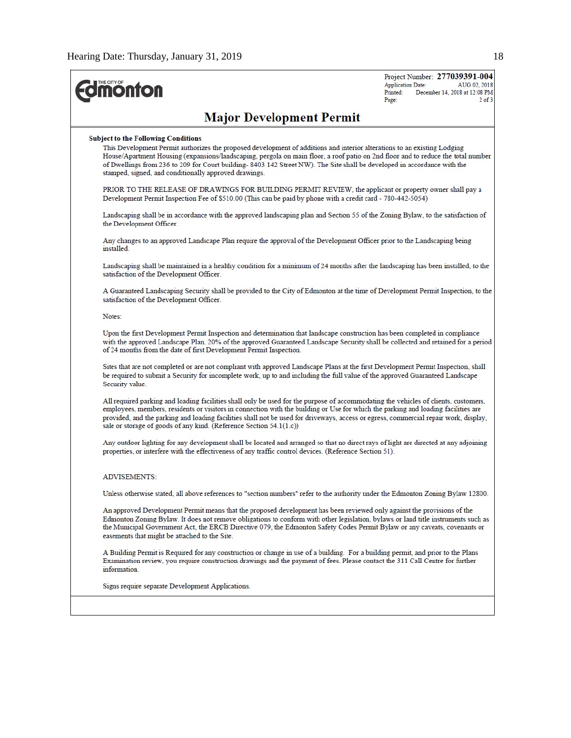$\overline{a}$ 

| <b><i><u><u><b>MONTON</b></u></u></i></b>                                                                                                                                                                                                                                                                                                                                                                                                                                                      | Project Number: 277039391-004<br>AUG 02, 2018<br><b>Application Date:</b><br>December 14, 2018 at 12:08 PM<br>Printed:<br>$2$ of $3$<br>Page: |
|------------------------------------------------------------------------------------------------------------------------------------------------------------------------------------------------------------------------------------------------------------------------------------------------------------------------------------------------------------------------------------------------------------------------------------------------------------------------------------------------|-----------------------------------------------------------------------------------------------------------------------------------------------|
| <b>Major Development Permit</b>                                                                                                                                                                                                                                                                                                                                                                                                                                                                |                                                                                                                                               |
| <b>Subject to the Following Conditions</b><br>This Development Permit authorizes the proposed development of additions and interior alterations to an existing Lodging<br>House/Apartment Housing (expansions/landscaping, pergola on main floor, a roof patio on 2nd floor and to reduce the total number<br>of Dwellings from 236 to 209 for Court building-8403 142 Street NW). The Site shall be developed in accordance with the<br>stamped, signed, and conditionally approved drawings. |                                                                                                                                               |
| PRIOR TO THE RELEASE OF DRAWINGS FOR BUILDING PERMIT REVIEW, the applicant or property owner shall pay a<br>Development Permit Inspection Fee of \$510.00 (This can be paid by phone with a credit card - 780-442-5054)                                                                                                                                                                                                                                                                        |                                                                                                                                               |
| Landscaping shall be in accordance with the approved landscaping plan and Section 55 of the Zoning Bylaw, to the satisfaction of<br>the Development Officer.                                                                                                                                                                                                                                                                                                                                   |                                                                                                                                               |
| Any changes to an approved Landscape Plan require the approval of the Development Officer prior to the Landscaping being<br>installed.                                                                                                                                                                                                                                                                                                                                                         |                                                                                                                                               |
| Landscaping shall be maintained in a healthy condition for a minimum of 24 months after the landscaping has been installed, to the<br>satisfaction of the Development Officer.                                                                                                                                                                                                                                                                                                                 |                                                                                                                                               |
| A Guaranteed Landscaping Security shall be provided to the City of Edmonton at the time of Development Permit Inspection, to the<br>satisfaction of the Development Officer.                                                                                                                                                                                                                                                                                                                   |                                                                                                                                               |
| Notes:                                                                                                                                                                                                                                                                                                                                                                                                                                                                                         |                                                                                                                                               |
| Upon the first Development Permit Inspection and determination that landscape construction has been completed in compliance<br>with the approved Landscape Plan, 20% of the approved Guaranteed Landscape Security shall be collected and retained for a period<br>of 24 months from the date of first Development Permit Inspection.                                                                                                                                                          |                                                                                                                                               |
| Sites that are not completed or are not compliant with approved Landscape Plans at the first Development Permit Inspection, shall<br>be required to submit a Security for incomplete work, up to and including the full value of the approved Guaranteed Landscape<br>Security value.                                                                                                                                                                                                          |                                                                                                                                               |
| All required parking and loading facilities shall only be used for the purpose of accommodating the vehicles of clients, customers,<br>employees, members, residents or visitors in connection with the building or Use for which the parking and loading facilities are<br>provided, and the parking and loading facilities shall not be used for driveways, access or egress, commercial repair work, display,<br>sale or storage of goods of any kind. (Reference Section $54.1(1.c)$ )     |                                                                                                                                               |
| Any outdoor lighting for any development shall be located and arranged so that no direct rays of light are directed at any adjoining<br>properties, or interfere with the effectiveness of any traffic control devices. (Reference Section 51).                                                                                                                                                                                                                                                |                                                                                                                                               |
| <b>ADVISEMENTS:</b>                                                                                                                                                                                                                                                                                                                                                                                                                                                                            |                                                                                                                                               |
| Unless otherwise stated, all above references to "section numbers" refer to the authority under the Edmonton Zoning Bylaw 12800.                                                                                                                                                                                                                                                                                                                                                               |                                                                                                                                               |
| An approved Development Permit means that the proposed development has been reviewed only against the provisions of the<br>Edmonton Zoning Bylaw. It does not remove obligations to conform with other legislation, bylaws or land title instruments such as<br>the Municipal Government Act, the ERCB Directive 079, the Edmonton Safety Codes Permit Bylaw or any caveats, covenants or<br>easements that might be attached to the Site.                                                     |                                                                                                                                               |
| A Building Permit is Required for any construction or change in use of a building. For a building permit, and prior to the Plans<br>Examination review, you require construction drawings and the payment of fees. Please contact the 311 Call Centre for further<br>information.                                                                                                                                                                                                              |                                                                                                                                               |
| Signs require separate Development Applications.                                                                                                                                                                                                                                                                                                                                                                                                                                               |                                                                                                                                               |
|                                                                                                                                                                                                                                                                                                                                                                                                                                                                                                |                                                                                                                                               |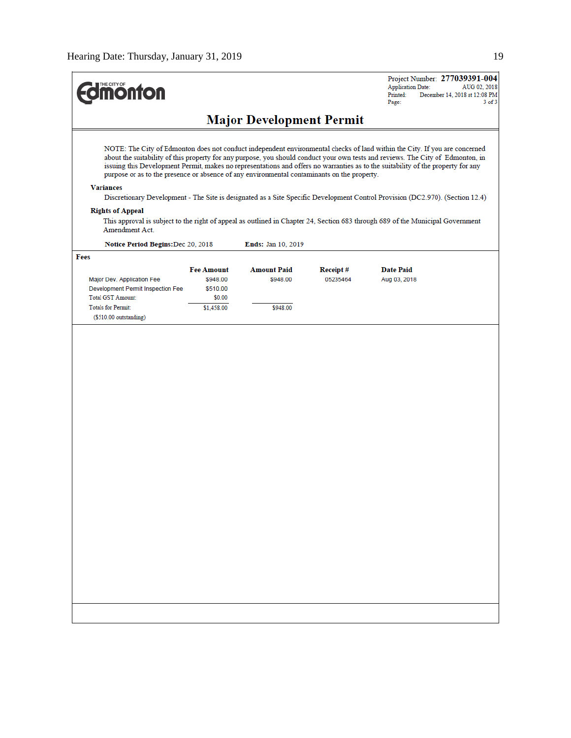| <b><i><u><u><b>M</b>onton</u></u></i></b>                                                                                                                    |                                                     |                                |                      | Project Number: 277039391-004<br><b>Application Date:</b><br>AUG 02, 2018<br>Printed:<br>December 14, 2018 at 12:08 PM<br>Page:<br>$3$ of $3$                                                                                                                                                                                                                                                                                                                                                                                                                                                                                                                        |
|--------------------------------------------------------------------------------------------------------------------------------------------------------------|-----------------------------------------------------|--------------------------------|----------------------|----------------------------------------------------------------------------------------------------------------------------------------------------------------------------------------------------------------------------------------------------------------------------------------------------------------------------------------------------------------------------------------------------------------------------------------------------------------------------------------------------------------------------------------------------------------------------------------------------------------------------------------------------------------------|
| <b>Major Development Permit</b>                                                                                                                              |                                                     |                                |                      |                                                                                                                                                                                                                                                                                                                                                                                                                                                                                                                                                                                                                                                                      |
| purpose or as to the presence or absence of any environmental contaminants on the property.<br><b>Variances</b><br><b>Rights of Appeal</b><br>Amendment Act. |                                                     |                                |                      | NOTE: The City of Edmonton does not conduct independent environmental checks of land within the City. If you are concerned<br>about the suitability of this property for any purpose, you should conduct your own tests and reviews. The City of Edmonton, in<br>issuing this Development Permit, makes no representations and offers no warranties as to the suitability of the property for any<br>Discretionary Development - The Site is designated as a Site Specific Development Control Provision (DC2.970). (Section 12.4)<br>This approval is subject to the right of appeal as outlined in Chapter 24, Section 683 through 689 of the Municipal Government |
| Notice Period Begins: Dec 20, 2018                                                                                                                           |                                                     | Ends: Jan 10, 2019             |                      |                                                                                                                                                                                                                                                                                                                                                                                                                                                                                                                                                                                                                                                                      |
| Fees<br>Major Dev. Application Fee<br>Development Permit Inspection Fee<br><b>Total GST Amount:</b>                                                          | <b>Fee Amount</b><br>\$948.00<br>\$510.00<br>\$0.00 | <b>Amount Paid</b><br>\$948.00 | Receipt#<br>05235464 | <b>Date Paid</b><br>Aug 03, 2018                                                                                                                                                                                                                                                                                                                                                                                                                                                                                                                                                                                                                                     |
| <b>Totals for Permit:</b><br>$($510.00$ outstanding)                                                                                                         | \$1,458.00                                          | \$948.00                       |                      |                                                                                                                                                                                                                                                                                                                                                                                                                                                                                                                                                                                                                                                                      |
|                                                                                                                                                              |                                                     |                                |                      |                                                                                                                                                                                                                                                                                                                                                                                                                                                                                                                                                                                                                                                                      |
|                                                                                                                                                              |                                                     |                                |                      |                                                                                                                                                                                                                                                                                                                                                                                                                                                                                                                                                                                                                                                                      |